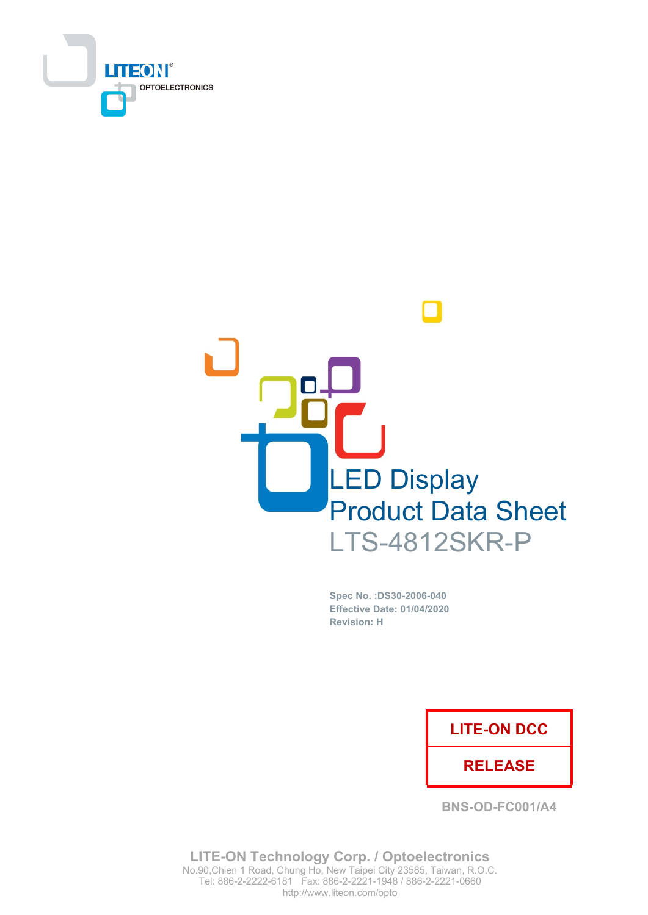



Spec No. : DS30-2006-040 Effective Date: 01/04/2020 **Revision: H** 

### **LITE-ON DCC**

### **RELEASE**

**BNS-OD-FC001/A4** 

**LITE-ON Technology Corp. / Optoelectronics** No.90, Chien 1 Road, Chung Ho, New Taipei City 23585, Taiwan, R.O.C. Tel: 886-2-2222-6181 Fax: 886-2-2221-1948 / 886-2-2221-0660 http://www.liteon.com/opto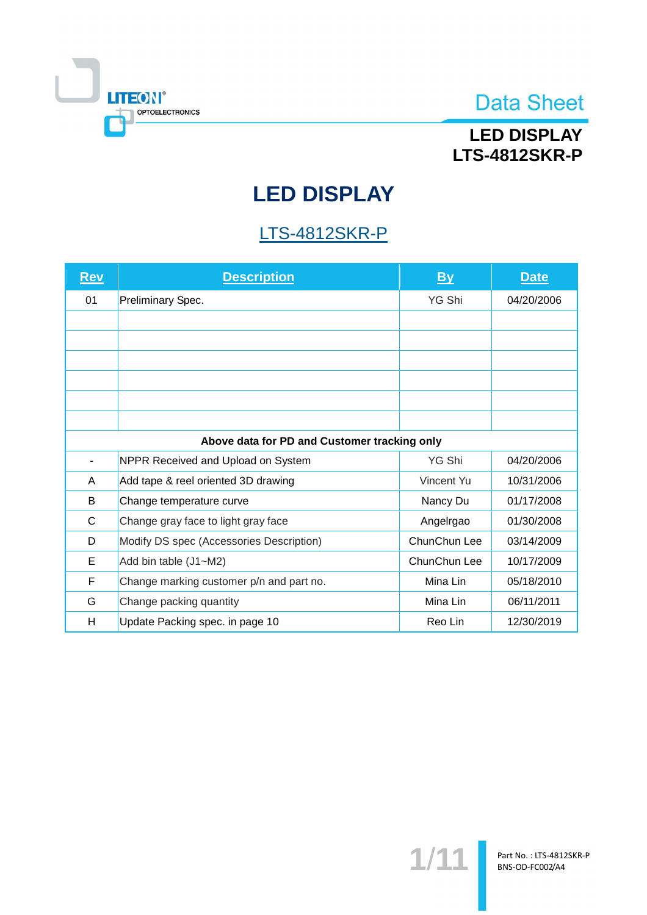

## **LED DISPLAY LTS-4812SKR-P**

# **LED DISPLAY**

## **LTS-4812SKR-P**

| <u>Rev</u> | <b>Description</b>                           | <u>By</u>    | <b>Date</b> |  |  |  |
|------------|----------------------------------------------|--------------|-------------|--|--|--|
| 01         | Preliminary Spec.                            | YG Shi       | 04/20/2006  |  |  |  |
|            |                                              |              |             |  |  |  |
|            |                                              |              |             |  |  |  |
|            |                                              |              |             |  |  |  |
|            |                                              |              |             |  |  |  |
|            |                                              |              |             |  |  |  |
|            |                                              |              |             |  |  |  |
|            | Above data for PD and Customer tracking only |              |             |  |  |  |
|            | NPPR Received and Upload on System           | YG Shi       | 04/20/2006  |  |  |  |
| A          | Add tape & reel oriented 3D drawing          | Vincent Yu   | 10/31/2006  |  |  |  |
| B          | Change temperature curve                     | Nancy Du     | 01/17/2008  |  |  |  |
| C          | Change gray face to light gray face          | Angelrgao    | 01/30/2008  |  |  |  |
| D          | Modify DS spec (Accessories Description)     | ChunChun Lee | 03/14/2009  |  |  |  |
| Е          | Add bin table (J1~M2)                        | ChunChun Lee | 10/17/2009  |  |  |  |
| F          | Change marking customer p/n and part no.     | Mina Lin     | 05/18/2010  |  |  |  |
| G          | Change packing quantity                      | Mina Lin     | 06/11/2011  |  |  |  |
| H          | Update Packing spec. in page 10              | Reo Lin      | 12/30/2019  |  |  |  |

 $1/11$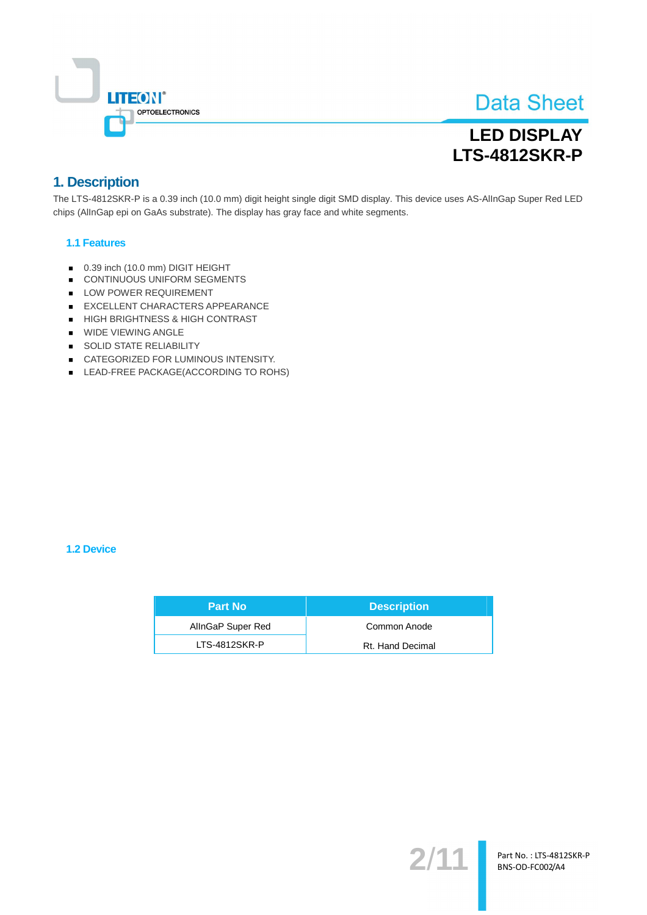

## **LED DISPLAY LTS-4812SKR-P**

### 1. Description

The LTS-4812SKR-P is a 0.39 inch (10.0 mm) digit height single digit SMD display. This device uses AS-AllnGap Super Red LED chips (AllnGap epi on GaAs substrate). The display has gray face and white segments.

#### **1.1 Features**

- 0.39 inch (10.0 mm) DIGIT HEIGHT
- CONTINUOUS UNIFORM SEGMENTS
- LOW POWER REQUIREMENT
- EXCELLENT CHARACTERS APPEARANCE
- HIGH BRIGHTNESS & HIGH CONTRAST
- **WIDE VIEWING ANGLE**
- SOLID STATE RELIABILITY
- CATEGORIZED FOR LUMINOUS INTENSITY.
- LEAD-FREE PACKAGE(ACCORDING TO ROHS)

#### **1.2 Device**

| <b>Part No</b>    | <b>Description</b> |
|-------------------|--------------------|
| AllnGaP Super Red | Common Anode       |
| LTS-4812SKR-P     | Rt. Hand Decimal   |

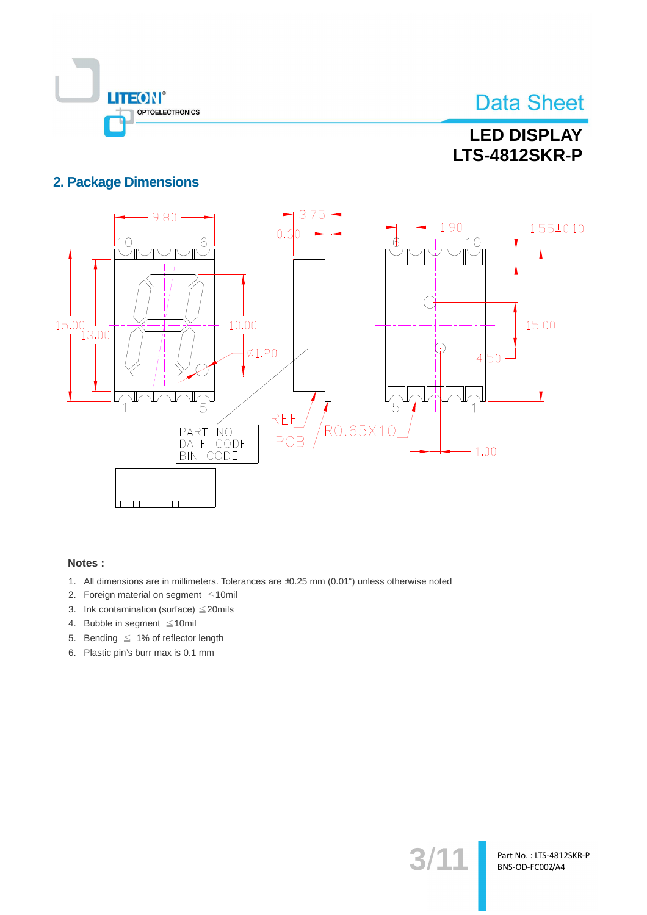

## **LED DISPLAY LTS-4812SKR-P**

### **2. Package Dimensions**



#### Notes:

- 1. All dimensions are in millimeters. Tolerances are ±0.25 mm (0.01") unless otherwise noted
- 2. Foreign material on segment  $\leq 10$ mil
- 3. Ink contamination (surface)  $\leq$  20mils
- 4. Bubble in segment  $\leq 10$ mil
- 5. Bending  $\leq 1\%$  of reflector length
- 6. Plastic pin's burr max is 0.1 mm

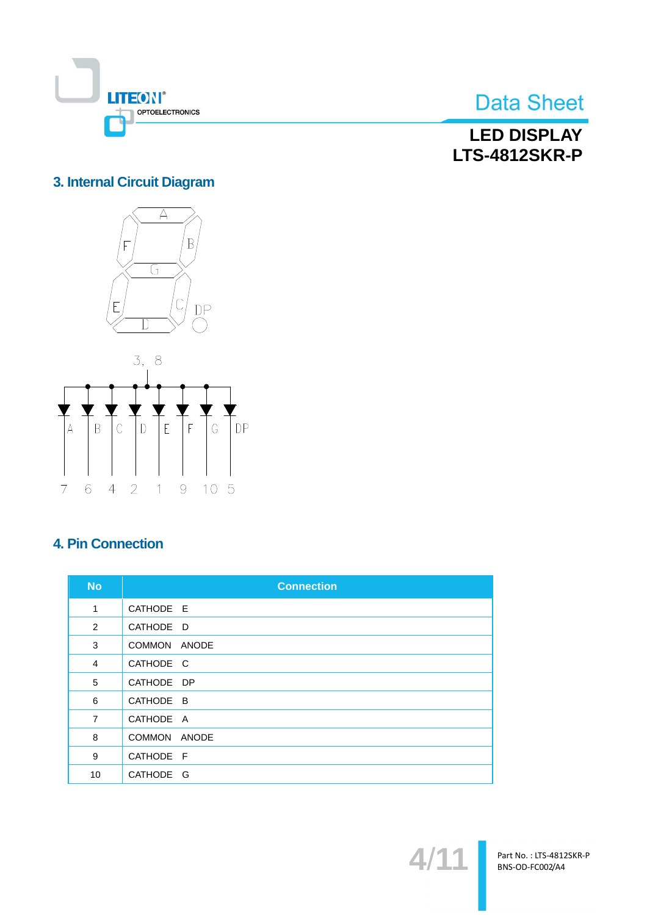

**LED DISPLAY LTS-4812SKR-P** 

### 3. Internal Circuit Diagram





### **4. Pin Connection**

| <b>No</b>      | <b>Connection</b>      |
|----------------|------------------------|
| 1              | CATHODE E              |
| 2              | CATHODE D              |
| 3              | ANODE<br><b>COMMON</b> |
| $\overline{4}$ | CATHODE C              |
| 5              | CATHODE DP             |
| 6              | CATHODE B              |
| $\overline{7}$ | CATHODE A              |
| 8              | <b>COMMON</b><br>ANODE |
| 9              | CATHODE F              |
| 10             | CATHODE G              |



Part No.: LTS-4812SKR-P BNS-OD-FC002/A4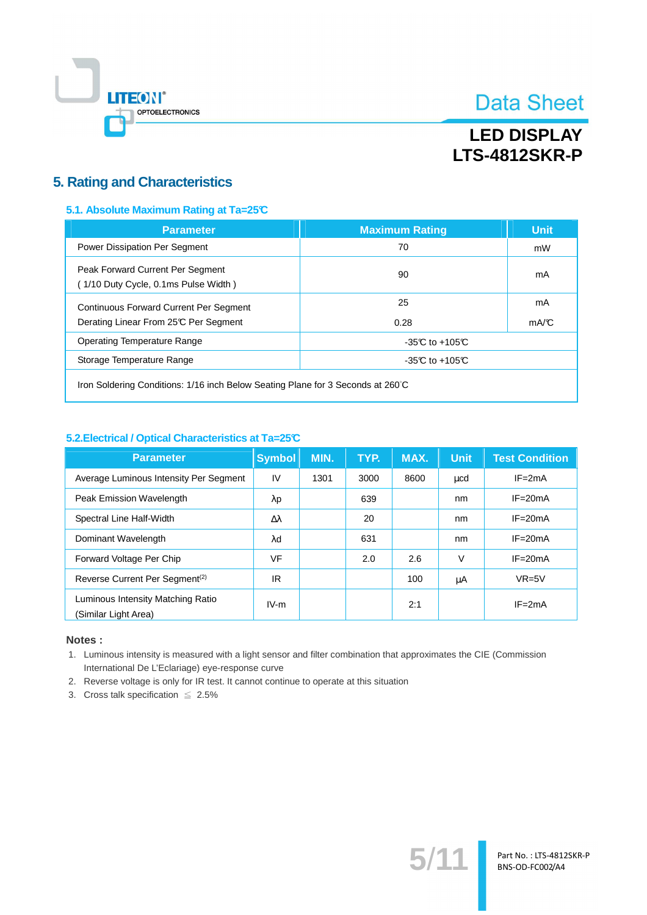

## **LED DISPLAY LTS-4812SKR-P**

### **5. Rating and Characteristics**

#### 5.1. Absolute Maximum Rating at Ta=25°C

| <b>Parameter</b>                                                                       | <b>Maximum Rating</b> | <b>Unit</b> |  |
|----------------------------------------------------------------------------------------|-----------------------|-------------|--|
| Power Dissipation Per Segment                                                          | 70                    | mW          |  |
| Peak Forward Current Per Segment<br>(1/10 Duty Cycle, 0.1ms Pulse Width)               | 90                    | mA          |  |
| <b>Continuous Forward Current Per Segment</b><br>Derating Linear From 25°C Per Segment | 25<br>0.28            | mA<br>mA/C  |  |
| <b>Operating Temperature Range</b>                                                     | -35 $C$ to +105 $C$   |             |  |
| Storage Temperature Range                                                              | $-35C$ to $+105C$     |             |  |
|                                                                                        |                       |             |  |

Iron Soldering Conditions: 1/16 inch Below Seating Plane for 3 Seconds at 260°C

#### 5.2. Electrical / Optical Characteristics at Ta=25°C

| <b>Parameter</b>                                          | <b>Symbol</b>    | MIN. | TYP. | MAX. | <b>Unit</b> | <b>Test Condition</b> |
|-----------------------------------------------------------|------------------|------|------|------|-------------|-----------------------|
| Average Luminous Intensity Per Segment                    | IV               | 1301 | 3000 | 8600 | ucd         | $IF = 2mA$            |
| Peak Emission Wavelength                                  | λp               |      | 639  |      | nm          | $IF = 20mA$           |
| Spectral Line Half-Width                                  | $\Delta \lambda$ |      | 20   |      | nm          | $IF = 20mA$           |
| Dominant Wavelength                                       | λd               |      | 631  |      | nm          | $IF = 20mA$           |
| Forward Voltage Per Chip                                  | <b>VF</b>        |      | 2.0  | 2.6  | V           | $IF = 20mA$           |
| Reverse Current Per Segment <sup>(2)</sup>                | IR               |      |      | 100  | μA          | $VR=5V$               |
| Luminous Intensity Matching Ratio<br>(Similar Light Area) | $IV-m$           |      |      | 2:1  |             | $IF = 2mA$            |

#### Notes:

1. Luminous intensity is measured with a light sensor and filter combination that approximates the CIE (Commission International De L'Eclariage) eye-response curve

 $5/$ 

Part No.: LTS-4812SKR-P BNS-OD-FC002/A4

2. Reverse voltage is only for IR test. It cannot continue to operate at this situation

3. Cross talk specification  $\leq 2.5\%$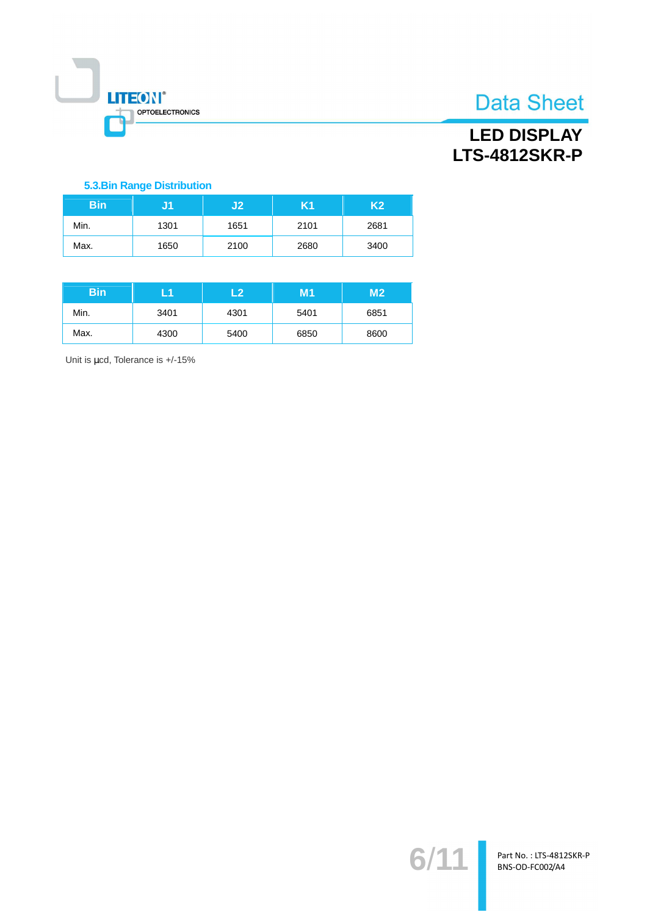

### **LED DISPLAY LTS-4812SKR-P**

#### **5.3.Bin Range Distribution**

| <b>Bin</b> |      | J2   | K1   | K <sub>2</sub> |
|------------|------|------|------|----------------|
| Min.       | 1301 | 1651 | 2101 | 2681           |
| Max.       | 1650 | 2100 | 2680 | 3400           |

| <b>Bin</b> | - 1  | -2   | M1   | M <sub>2</sub> |
|------------|------|------|------|----------------|
| Min.       | 3401 | 4301 | 5401 | 6851           |
| Max.       | 4300 | 5400 | 6850 | 8600           |

Unit is µcd, Tolerance is +/-15%

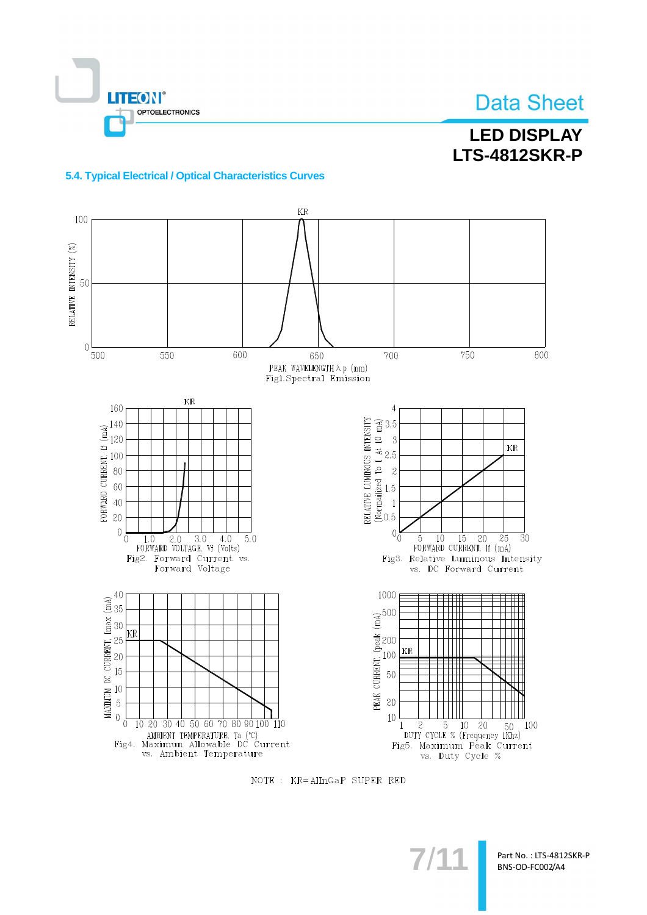

## **LED DISPLAY LTS-4812SKR-P**

#### 5.4. Typical Electrical / Optical Characteristics Curves



NOTE : KR=AlInGaP SUPER RED

Part No.: LTS-4812SKR-P BNS-OD-FC002/A4

 $7/1$ <sup>-</sup>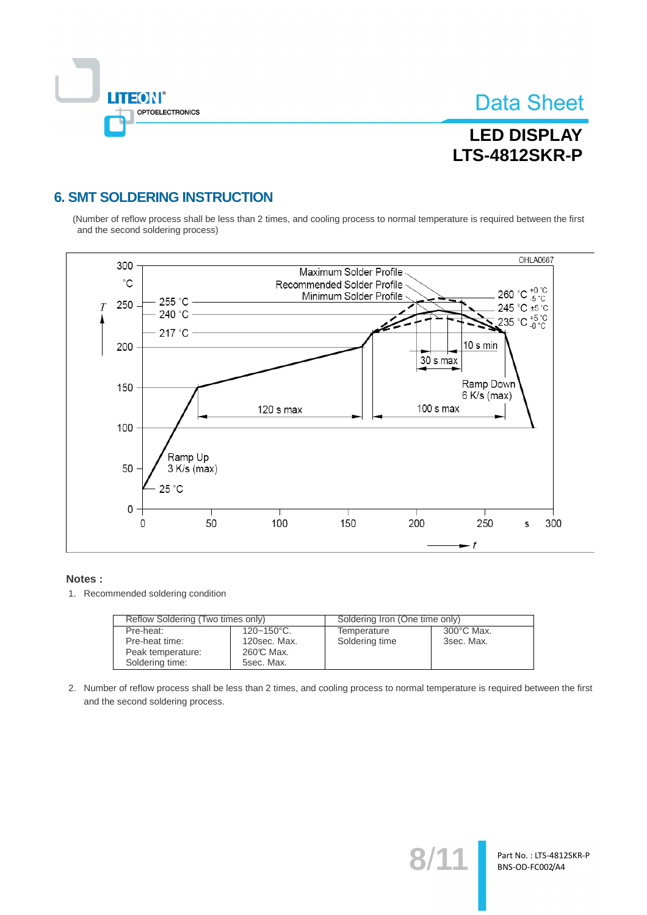

Part No.: LTS-4812SKR-P BNS-OD-FC002/A4

## **LED DISPLAY LTS-4812SKR-P**

### **6. SMT SOLDERING INSTRUCTION**

(Number of reflow process shall be less than 2 times, and cooling process to normal temperature is required between the first and the second soldering process)



#### Notes:

1. Recommended soldering condition

| Reflow Soldering (Two times only) |                 | Soldering Iron (One time only) |            |  |
|-----------------------------------|-----------------|--------------------------------|------------|--|
| Pre-heat:                         | $120 - 150$ °C. | Temperature                    | 300°C Max. |  |
| Pre-heat time:                    | 120sec. Max.    | Soldering time                 | 3sec. Max. |  |
| Peak temperature:                 | 260℃ Max.       |                                |            |  |
| Soldering time:                   | 5sec. Max.      |                                |            |  |

2. Number of reflow process shall be less than 2 times, and cooling process to normal temperature is required between the first and the second soldering process.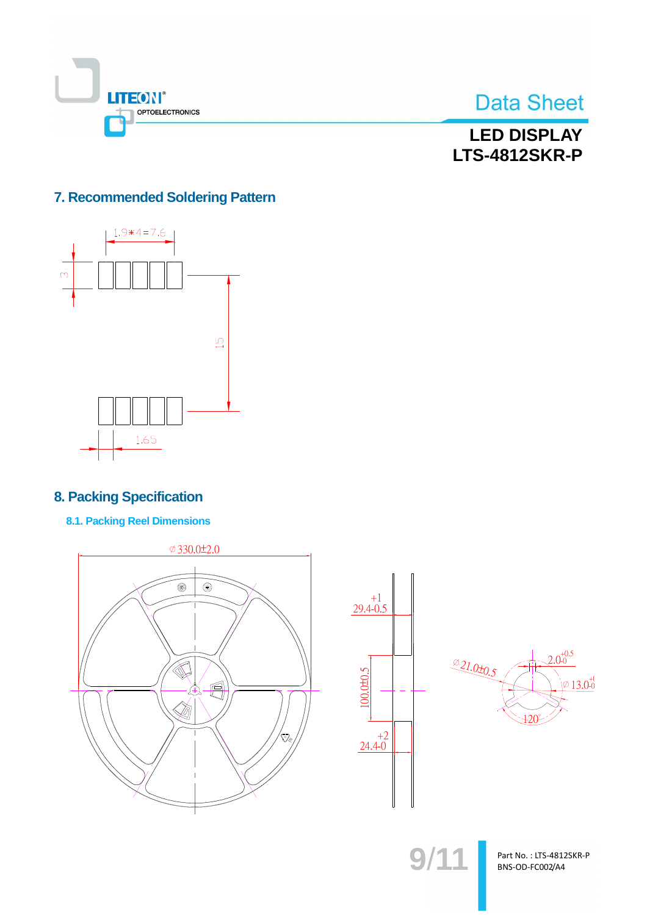



**LED DISPLAY LTS-4812SKR-P** 

### 7. Recommended Soldering Pattern



### **8. Packing Specification**

**8.1. Packing Reel Dimensions** 







 $9/11$ 

Part No.: LTS-4812SKR-P BNS-OD-FC002/A4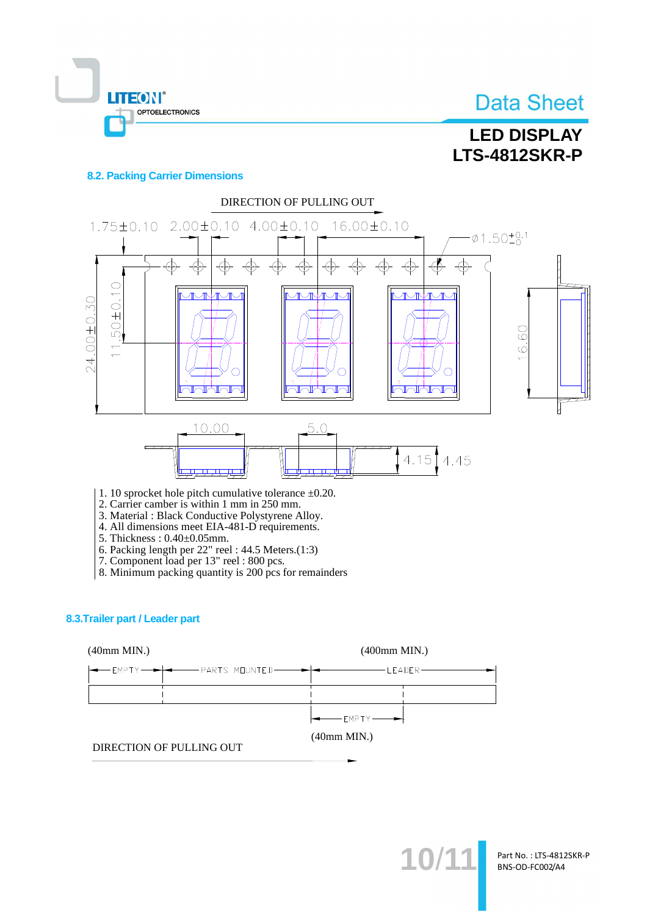

## **LED DISPLAY LTS-4812SKR-P**

#### **8.2. Packing Carrier Dimensions**

OPTOELECTRONICS

**LITEON®** 



2. Carrier camber is within 1 mm in 250 mm.

3. Material: Black Conductive Polystyrene Alloy. 4. All dimensions meet EIA-481-D requirements.

- 5. Thickness: 0.40±0.05mm.
- 
- 
- 6. Packing length per 22" reel : 44.5 Meters.(1:3)<br>7. Component load per 13" reel : 800 pcs.<br>8. Minimum packing quantity is 200 pcs for remainders

#### 8.3. Trailer part / Leader part



10